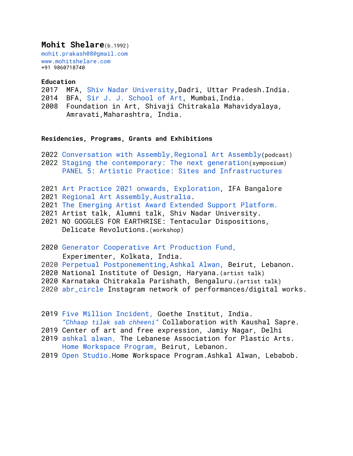## **Mohit Shelare**(b.1992)

mohit.prakash08@gmail.com www.mohitshelare.com +91 9860718740

## **Education**

2017 MFA, [Shiv Nadar University](https://art.snu.edu.in/about/department-art-and-performing-art),Dadri, Uttar Pradesh.India.

- 2014 BFA, [Sir J. J. School of Art,](https://www.sirjjschoolofart.in/) Mumbai,India.
- 2008 Foundation in Art, Shivaji Chitrakala Mahavidyalaya, Amravati, Maharashtra, India.

## **Residencies, Programs, Grants and Exhibitions**

- 2022 Conversation with Assembly, Regional Art Assembly(podcast)
- 2022 [Staging the contemporary: The next generation](https://www.ishara.org/program-events/staging-the-contemporary-the-next-generation/)(symposium) [PANEL 5: Artistic Practice: Sites and Infrastructures](https://www.youtube.com/watch?v=1aNeDF2ZGSM&t=2208s)
- 2021 [Art Practice 2021 onwards, Exploration](https://indiaifa.org/grants-projects/mohit-prakash-shelare.html), IFA Bangalore
- 2021 [Regional Art Assembly,Australia](https://regionalarts.com.au/programs/regional-assembly).
- 2021 The Emerging Artist Award Extended Support Platform.
- 2021 Artist talk, Alumni talk, Shiv Nadar University.
- 2021 NO GOGGLES FOR EARTHRISE: Tentacular Dispositions, Delicate Revolutions.(workshop)
- 2020 Generator Cooperative Art Production Fund, Experimenter, Kolkata, India.
- 2020 Perpetual Postponementing,Ashkal Alwan, Beirut, Lebanon.
- 2020 National Institute of Design, Haryana.(artist talk)
- 2020 Karnataka Chitrakala Parishath, Bengaluru.(artist talk)
- 2020 abr\_circle Instagram network of performances/digital works.
- 2019 Five Million Incident, Goethe Institut, India. *"Chhaap tilak sab chheeni"* Collaboration with Kaushal Sapre.
- 2019 Center of art and free expression, Jamiy Nagar, Delhi
- 2019 ashkal alwan, The Lebanese Association for Plastic Arts. Home Workspace Program, Beirut, Lebanon.
- 2019 Open Studio.Home Workspace Program.Ashkal Alwan, Lebabob.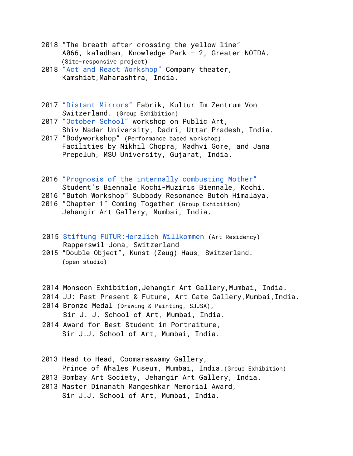- 2018 "The breath after crossing the yellow line" A066, kaladham, Knowledge Park – 2, Greater NOIDA. (Site-responsive project)
- 2018 "Act and React Workshop" Company theater, Kamshiat, Maharashtra, India.
- 2017 "Distant Mirrors" Fabrik, Kultur Im Zentrum Von Switzerland. (Group Exhibition)
- 2017 "October School" workshop on Public Art, Shiv Nadar University, Dadri, Uttar Pradesh, India.
- 2017 "Bodyworkshop" (Performance based workshop) Facilities by Nikhil Chopra, Madhvi Gore, and Jana Prepeluh, MSU University, Gujarat, India.
- 2016 "Prognosis of the internally combusting Mother" Student's Biennale Kochi-Muziris Biennale, Kochi.
- 2016 "Butoh Workshop" Subbody Resonance Butoh Himalaya.
- 2016 "Chapter 1" Coming Together (Group Exhibition) Jehangir Art Gallery, Mumbai, India.
- 2015 Stiftung FUTUR:Herzlich Willkommen (Art Residency) Rapperswil-Jona, Switzerland
- 2015 "Double Object", Kunst (Zeug) Haus, Switzerland. (open studio)
- 2014 Monsoon Exhibition,Jehangir Art Gallery,Mumbai, India.
- 2014 JJ: Past Present & Future, Art Gate Gallery,Mumbai,India.
- 2014 Bronze Medal (Drawing & Painting, SJJSA), Sir J. J. School of Art, Mumbai, India.
- 2014 Award for Best Student in Portraiture, Sir J.J. School of Art, Mumbai, India.
- 2013 Head to Head, Coomaraswamy Gallery, Prince of Whales Museum, Mumbai, India.(Group Exhibition)
- 2013 Bombay Art Society, Jehangir Art Gallery, India.
- 2013 Master Dinanath Mangeshkar Memorial Award, Sir J.J. School of Art, Mumbai, India.